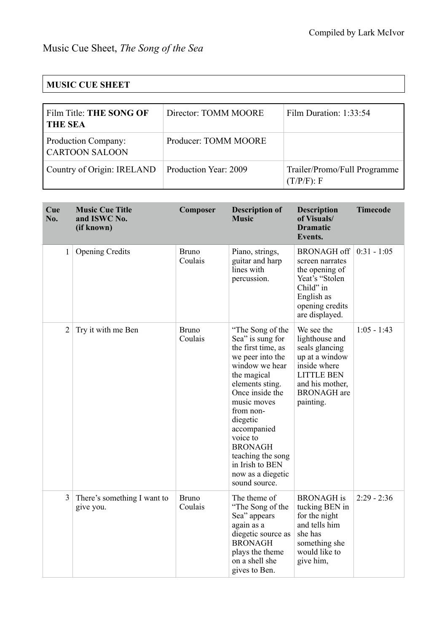## **MUSIC CUE SHEET**

| Film Title: THE SONG OF<br><b>THE SEA</b>    | Director: TOMM MOORE  | Film Duration: 1:33:54                        |
|----------------------------------------------|-----------------------|-----------------------------------------------|
| Production Company:<br><b>CARTOON SALOON</b> | Producer: TOMM MOORE  |                                               |
| Country of Origin: IRELAND                   | Production Year: 2009 | Trailer/Promo/Full Programme<br>$(T/P/F)$ : F |

| Cue<br>No.     | <b>Music Cue Title</b><br>and ISWC No.<br>(if known) | Composer                | <b>Description of</b><br><b>Music</b>                                                                                                                                                                                                                                                                                    | <b>Description</b><br>of Visuals/<br><b>Dramatic</b><br>Events.                                                                                             | <b>Timecode</b> |
|----------------|------------------------------------------------------|-------------------------|--------------------------------------------------------------------------------------------------------------------------------------------------------------------------------------------------------------------------------------------------------------------------------------------------------------------------|-------------------------------------------------------------------------------------------------------------------------------------------------------------|-----------------|
| 1              | <b>Opening Credits</b>                               | <b>Bruno</b><br>Coulais | Piano, strings,<br>guitar and harp<br>lines with<br>percussion.                                                                                                                                                                                                                                                          | <b>BRONAGH off</b><br>screen narrates<br>the opening of<br>Yeat's "Stolen<br>Child" in<br>English as<br>opening credits<br>are displayed.                   | $0:31 - 1:05$   |
| $\overline{2}$ | Try it with me Ben                                   | <b>Bruno</b><br>Coulais | "The Song of the<br>Sea" is sung for<br>the first time, as<br>we peer into the<br>window we hear<br>the magical<br>elements sting.<br>Once inside the<br>music moves<br>from non-<br>diegetic<br>accompanied<br>voice to<br><b>BRONAGH</b><br>teaching the song<br>in Irish to BEN<br>now as a diegetic<br>sound source. | We see the<br>lighthouse and<br>seals glancing<br>up at a window<br>inside where<br><b>LITTLE BEN</b><br>and his mother,<br><b>BRONAGH</b> are<br>painting. | $1:05 - 1:43$   |
| 3              | There's something I want to<br>give you.             | <b>Bruno</b><br>Coulais | The theme of<br>"The Song of the<br>Sea" appears<br>again as a<br>diegetic source as<br><b>BRONAGH</b><br>plays the theme<br>on a shell she<br>gives to Ben.                                                                                                                                                             | <b>BRONAGH</b> is<br>tucking BEN in<br>for the night<br>and tells him<br>she has<br>something she<br>would like to<br>give him,                             | $2:29 - 2:36$   |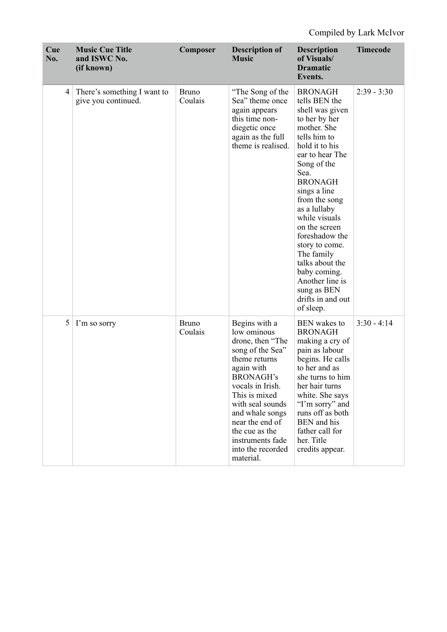| Cue<br>No. | <b>Music Cue Title</b><br>and ISWC No.<br>(if known) | Composer                | <b>Description of</b><br><b>Music</b>                                                                                                                                                                                                                                                          | <b>Description</b><br>of Visuals/<br><b>Dramatic</b><br>Events.                                                                                                                                                                                                                                                                                                                                                              | <b>Timecode</b> |
|------------|------------------------------------------------------|-------------------------|------------------------------------------------------------------------------------------------------------------------------------------------------------------------------------------------------------------------------------------------------------------------------------------------|------------------------------------------------------------------------------------------------------------------------------------------------------------------------------------------------------------------------------------------------------------------------------------------------------------------------------------------------------------------------------------------------------------------------------|-----------------|
| 4          | There's something I want to<br>give you continued.   | <b>Bruno</b><br>Coulais | "The Song of the<br>Sea" theme once<br>again appears<br>this time non-<br>diegetic once<br>again as the full<br>theme is realised.                                                                                                                                                             | <b>BRONAGH</b><br>tells BEN the<br>shell was given<br>to her by her<br>mother. She<br>tells him to<br>hold it to his<br>ear to hear The<br>Song of the<br>Sea.<br><b>BRONAGH</b><br>sings a line<br>from the song<br>as a lullaby<br>while visuals<br>on the screen<br>foreshadow the<br>story to come.<br>The family<br>talks about the<br>baby coming.<br>Another line is<br>sung as BEN<br>drifts in and out<br>of sleep. | $2:39 - 3:30$   |
| 5          | I'm so sorry                                         | <b>Bruno</b><br>Coulais | Begins with a<br>low ominous<br>drone, then "The<br>song of the Sea"<br>theme returns<br>again with<br><b>BRONAGH's</b><br>vocals in Irish.<br>This is mixed<br>with seal sounds<br>and whale songs<br>near the end of<br>the cue as the<br>instruments fade<br>into the recorded<br>material. | <b>BEN</b> wakes to<br><b>BRONAGH</b><br>making a cry of<br>pain as labour<br>begins. He calls<br>to her and as<br>she turns to him<br>her hair turns<br>white. She says<br>"I'm sorry" and<br>runs off as both<br>BEN and his<br>father call for<br>her. Title<br>credits appear.                                                                                                                                           | $3:30 - 4:14$   |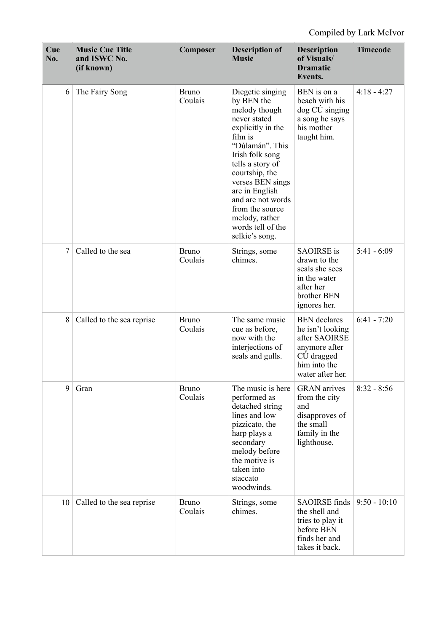| Cue<br>No. | <b>Music Cue Title</b><br>and ISWC No.<br>(if known) | Composer                | <b>Description of</b><br><b>Music</b>                                                                                                                                                                                                                                                                              | <b>Description</b><br>of Visuals/<br><b>Dramatic</b><br>Events.                                                             | <b>Timecode</b> |
|------------|------------------------------------------------------|-------------------------|--------------------------------------------------------------------------------------------------------------------------------------------------------------------------------------------------------------------------------------------------------------------------------------------------------------------|-----------------------------------------------------------------------------------------------------------------------------|-----------------|
| 6          | The Fairy Song                                       | <b>Bruno</b><br>Coulais | Diegetic singing<br>by BEN the<br>melody though<br>never stated<br>explicitly in the<br>film is<br>"Dúlamán". This<br>Irish folk song<br>tells a story of<br>courtship, the<br>verses BEN sings<br>are in English<br>and are not words<br>from the source<br>melody, rather<br>words tell of the<br>selkie's song. | BEN is on a<br>beach with his<br>dog CÚ singing<br>a song he says<br>his mother<br>taught him.                              | $4:18 - 4:27$   |
| $\tau$     | Called to the sea                                    | <b>Bruno</b><br>Coulais | Strings, some<br>chimes.                                                                                                                                                                                                                                                                                           | <b>SAOIRSE</b> is<br>drawn to the<br>seals she sees<br>in the water<br>after her<br>brother BEN<br>ignores her.             | $5:41 - 6:09$   |
| 8          | Called to the sea reprise                            | <b>Bruno</b><br>Coulais | The same music<br>cue as before,<br>now with the<br>interjections of<br>seals and gulls.                                                                                                                                                                                                                           | <b>BEN</b> declares<br>he isn't looking<br>after SAOIRSE<br>anymore after<br>CÚ dragged<br>him into the<br>water after her. | $6:41 - 7:20$   |
| 9          | Gran                                                 | <b>Bruno</b><br>Coulais | The music is here<br>performed as<br>detached string<br>lines and low<br>pizzicato, the<br>harp plays a<br>secondary<br>melody before<br>the motive is<br>taken into<br>staccato<br>woodwinds.                                                                                                                     | <b>GRAN</b> arrives<br>from the city<br>and<br>disapproves of<br>the small<br>family in the<br>lighthouse.                  | $8:32 - 8:56$   |
| 10         | Called to the sea reprise                            | <b>Bruno</b><br>Coulais | Strings, some<br>chimes.                                                                                                                                                                                                                                                                                           | <b>SAOIRSE</b> finds<br>the shell and<br>tries to play it<br>before BEN<br>finds her and<br>takes it back.                  | $9:50 - 10:10$  |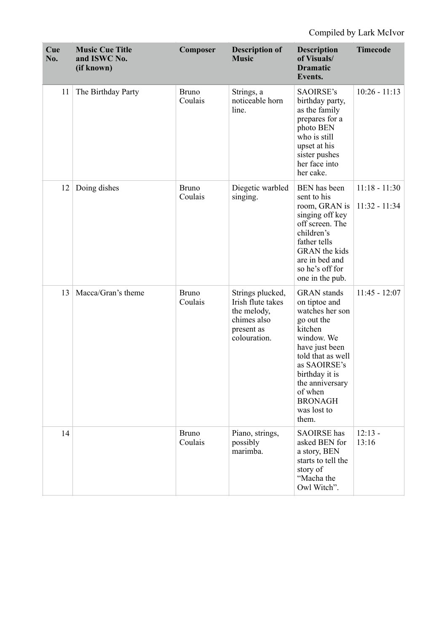| Cue<br>No. | <b>Music Cue Title</b><br>and ISWC No.<br>(if known) | Composer                | <b>Description of</b><br><b>Music</b>                                                             | <b>Description</b><br>of Visuals/<br><b>Dramatic</b><br>Events.                                                                                                                                                                                | <b>Timecode</b>                    |
|------------|------------------------------------------------------|-------------------------|---------------------------------------------------------------------------------------------------|------------------------------------------------------------------------------------------------------------------------------------------------------------------------------------------------------------------------------------------------|------------------------------------|
| 11         | The Birthday Party                                   | <b>Bruno</b><br>Coulais | Strings, a<br>noticeable horn<br>line.                                                            | SAOIRSE's<br>birthday party,<br>as the family<br>prepares for a<br>photo BEN<br>who is still<br>upset at his<br>sister pushes<br>her face into<br>her cake.                                                                                    | $10:26 - 11:13$                    |
| 12         | Doing dishes                                         | <b>Bruno</b><br>Coulais | Diegetic warbled<br>singing.                                                                      | BEN has been<br>sent to his<br>room, GRAN is<br>singing off key<br>off screen. The<br>children's<br>father tells<br><b>GRAN</b> the kids<br>are in bed and<br>so he's off for<br>one in the pub.                                               | $11:18 - 11:30$<br>$11:32 - 11:34$ |
| 13         | Macca/Gran's theme                                   | <b>Bruno</b><br>Coulais | Strings plucked,<br>Irish flute takes<br>the melody,<br>chimes also<br>present as<br>colouration. | <b>GRAN</b> stands<br>on tiptoe and<br>watches her son<br>go out the<br>kitchen<br>window. We<br>have just been<br>told that as well<br>as SAOIRSE's<br>birthday it is<br>the anniversary<br>of when<br><b>BRONAGH</b><br>was lost to<br>them. | $11:45 - 12:07$                    |
| 14         |                                                      | <b>Bruno</b><br>Coulais | Piano, strings,<br>possibly<br>marimba.                                                           | <b>SAOIRSE</b> has<br>asked BEN for<br>a story, BEN<br>starts to tell the<br>story of<br>"Macha the<br>Owl Witch".                                                                                                                             | $12:13 -$<br>13:16                 |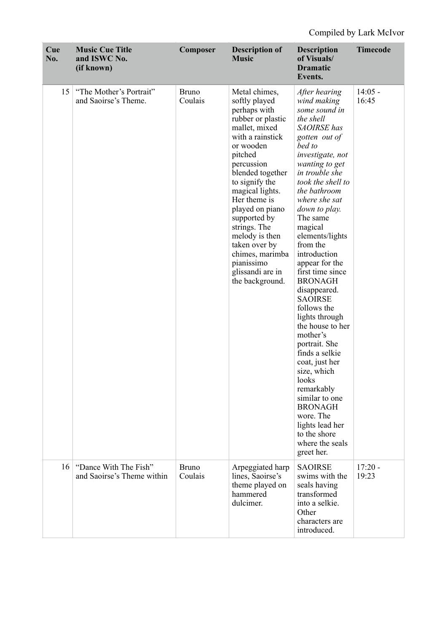| Cue<br>No. | <b>Music Cue Title</b><br>and ISWC No.<br>(if known) | Composer                | <b>Description of</b><br><b>Music</b>                                                                                                                                                                                                                                                                                                                                                 | <b>Description</b><br>of Visuals/<br><b>Dramatic</b><br>Events.                                                                                                                                                                                                                                                                                                                                                                                                                                                                                                                                                                                                                             | <b>Timecode</b>    |
|------------|------------------------------------------------------|-------------------------|---------------------------------------------------------------------------------------------------------------------------------------------------------------------------------------------------------------------------------------------------------------------------------------------------------------------------------------------------------------------------------------|---------------------------------------------------------------------------------------------------------------------------------------------------------------------------------------------------------------------------------------------------------------------------------------------------------------------------------------------------------------------------------------------------------------------------------------------------------------------------------------------------------------------------------------------------------------------------------------------------------------------------------------------------------------------------------------------|--------------------|
| 15         | "The Mother's Portrait"<br>and Saoirse's Theme.      | <b>Bruno</b><br>Coulais | Metal chimes,<br>softly played<br>perhaps with<br>rubber or plastic<br>mallet, mixed<br>with a rainstick<br>or wooden<br>pitched<br>percussion<br>blended together<br>to signify the<br>magical lights.<br>Her theme is<br>played on piano<br>supported by<br>strings. The<br>melody is then<br>taken over by<br>chimes, marimba<br>pianissimo<br>glissandi are in<br>the background. | After hearing<br>wind making<br>some sound in<br>the shell<br><b>SAOIRSE</b> has<br>gotten out of<br>bed to<br>investigate, not<br>wanting to get<br>in trouble she<br>took the shell to<br>the bathroom<br>where she sat<br>down to play.<br>The same<br>magical<br>elements/lights<br>from the<br>introduction<br>appear for the<br>first time since<br><b>BRONAGH</b><br>disappeared.<br><b>SAOIRSE</b><br>follows the<br>lights through<br>the house to her<br>mother's<br>portrait. She<br>finds a selkie<br>coat, just her<br>size, which<br>looks<br>remarkably<br>similar to one<br><b>BRONAGH</b><br>wore. The<br>lights lead her<br>to the shore<br>where the seals<br>greet her. | $14:05 -$<br>16:45 |
| 16         | "Dance With The Fish"<br>and Saoirse's Theme within  | <b>Bruno</b><br>Coulais | Arpeggiated harp<br>lines, Saoirse's<br>theme played on<br>hammered<br>dulcimer.                                                                                                                                                                                                                                                                                                      | <b>SAOIRSE</b><br>swims with the<br>seals having<br>transformed<br>into a selkie.<br>Other<br>characters are<br>introduced.                                                                                                                                                                                                                                                                                                                                                                                                                                                                                                                                                                 | $17:20 -$<br>19:23 |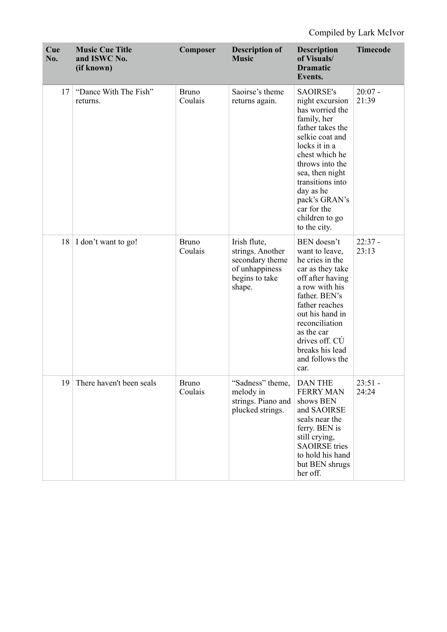| Cue<br>No. | <b>Music Cue Title</b><br>and ISWC No.<br>(if known) | Composer                | <b>Description of</b><br><b>Music</b>                                                             | <b>Description</b><br>of Visuals/<br><b>Dramatic</b><br>Events.                                                                                                                                                                                                                          | <b>Timecode</b>    |
|------------|------------------------------------------------------|-------------------------|---------------------------------------------------------------------------------------------------|------------------------------------------------------------------------------------------------------------------------------------------------------------------------------------------------------------------------------------------------------------------------------------------|--------------------|
| 17         | "Dance With The Fish"<br>returns.                    | <b>Bruno</b><br>Coulais | Saoirse's theme<br>returns again.                                                                 | <b>SAOIRSE's</b><br>night excursion<br>has worried the<br>family, her<br>father takes the<br>selkie coat and<br>locks it in a<br>chest which he<br>throws into the<br>sea, then night<br>transitions into<br>day as he<br>pack's GRAN's<br>car for the<br>children to go<br>to the city. | $20:07 -$<br>21:39 |
|            | 18   I don't want to go!                             | <b>Bruno</b><br>Coulais | Irish flute,<br>strings. Another<br>secondary theme<br>of unhappiness<br>begins to take<br>shape. | BEN doesn't<br>want to leave,<br>he cries in the<br>car as they take<br>off after having<br>a row with his<br>father. BEN's<br>father reaches<br>out his hand in<br>reconciliation<br>as the car<br>drives off. CU<br>breaks his lead<br>and follows the<br>car.                         | $22:37 -$<br>23:13 |
| 19         | There haven't been seals                             | <b>Bruno</b><br>Coulais | "Sadness" theme,<br>melody in<br>strings. Piano and<br>plucked strings.                           | <b>DAN THE</b><br><b>FERRY MAN</b><br>shows BEN<br>and SAOIRSE<br>seals near the<br>ferry. BEN is<br>still crying,<br><b>SAOIRSE</b> tries<br>to hold his hand<br>but BEN shrugs<br>her off.                                                                                             | $23:51 -$<br>24:24 |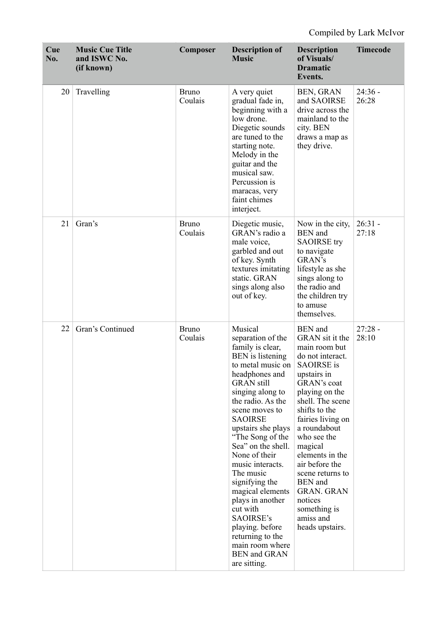| Cue<br>No. | <b>Music Cue Title</b><br>and ISWC No.<br>(if known) | Composer                | <b>Description of</b><br><b>Music</b>                                                                                                                                                                                                                                                                                                                                                                                                                                                                                      | <b>Description</b><br>of Visuals/<br><b>Dramatic</b><br>Events.                                                                                                                                                                                                                                                                                                                                                   | <b>Timecode</b>    |
|------------|------------------------------------------------------|-------------------------|----------------------------------------------------------------------------------------------------------------------------------------------------------------------------------------------------------------------------------------------------------------------------------------------------------------------------------------------------------------------------------------------------------------------------------------------------------------------------------------------------------------------------|-------------------------------------------------------------------------------------------------------------------------------------------------------------------------------------------------------------------------------------------------------------------------------------------------------------------------------------------------------------------------------------------------------------------|--------------------|
| 20         | Travelling                                           | <b>Bruno</b><br>Coulais | A very quiet<br>gradual fade in,<br>beginning with a<br>low drone.<br>Diegetic sounds<br>are tuned to the<br>starting note.<br>Melody in the<br>guitar and the<br>musical saw.<br>Percussion is<br>maracas, very<br>faint chimes<br>interject.                                                                                                                                                                                                                                                                             | BEN, GRAN<br>and SAOIRSE<br>drive across the<br>mainland to the<br>city. BEN<br>draws a map as<br>they drive.                                                                                                                                                                                                                                                                                                     | $24:36 -$<br>26:28 |
| 21         | Gran's                                               | <b>Bruno</b><br>Coulais | Diegetic music,<br>GRAN's radio a<br>male voice,<br>garbled and out<br>of key. Synth<br>textures imitating<br>static. GRAN<br>sings along also<br>out of key.                                                                                                                                                                                                                                                                                                                                                              | Now in the city,<br><b>BEN</b> and<br><b>SAOIRSE</b> try<br>to navigate<br>GRAN's<br>lifestyle as she<br>sings along to<br>the radio and<br>the children try<br>to amuse<br>themselves.                                                                                                                                                                                                                           | $26:31 -$<br>27:18 |
| 22         | Gran's Continued                                     | <b>Bruno</b><br>Coulais | Musical<br>separation of the<br>family is clear,<br><b>BEN</b> is listening<br>to metal music on<br>headphones and<br><b>GRAN</b> still<br>singing along to<br>the radio. As the<br>scene moves to<br><b>SAOIRSE</b><br>upstairs she plays<br>"The Song of the<br>Sea" on the shell.<br>None of their<br>music interacts.<br>The music<br>signifying the<br>magical elements<br>plays in another<br>cut with<br>SAOIRSE's<br>playing. before<br>returning to the<br>main room where<br><b>BEN</b> and GRAN<br>are sitting. | <b>BEN</b> and<br>GRAN sit it the<br>main room but<br>do not interact.<br><b>SAOIRSE</b> is<br>upstairs in<br><b>GRAN's coat</b><br>playing on the<br>shell. The scene<br>shifts to the<br>fairies living on<br>a roundabout<br>who see the<br>magical<br>elements in the<br>air before the<br>scene returns to<br><b>BEN</b> and<br><b>GRAN. GRAN</b><br>notices<br>something is<br>amiss and<br>heads upstairs. | $27:28 -$<br>28:10 |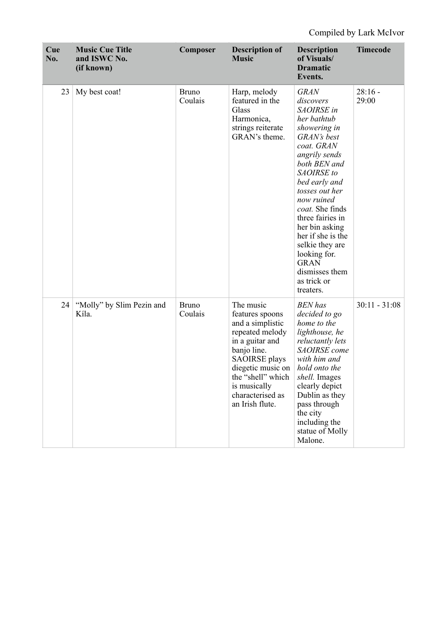| Cue<br>No. | <b>Music Cue Title</b><br>and ISWC No.<br>(if known) | Composer                | <b>Description of</b><br><b>Music</b>                                                                                                                                                                                          | <b>Description</b><br>of Visuals/<br><b>Dramatic</b><br>Events.                                                                                                                                                                                                                                                                                                                  | <b>Timecode</b>    |
|------------|------------------------------------------------------|-------------------------|--------------------------------------------------------------------------------------------------------------------------------------------------------------------------------------------------------------------------------|----------------------------------------------------------------------------------------------------------------------------------------------------------------------------------------------------------------------------------------------------------------------------------------------------------------------------------------------------------------------------------|--------------------|
| 23         | My best coat!                                        | <b>Bruno</b><br>Coulais | Harp, melody<br>featured in the<br>Glass<br>Harmonica,<br>strings reiterate<br>GRAN's theme.                                                                                                                                   | <b>GRAN</b><br>discovers<br>SAOIRSE in<br>her bathtub<br>showering in<br>GRAN's best<br>coat. GRAN<br>angrily sends<br>both BEN and<br>SAOIRSE to<br>bed early and<br>tosses out her<br>now ruined<br>coat. She finds<br>three fairies in<br>her bin asking<br>her if she is the<br>selkie they are<br>looking for.<br><b>GRAN</b><br>dismisses them<br>as trick or<br>treaters. | $28:16 -$<br>29:00 |
| 24         | "Molly" by Slim Pezin and<br>Kíla.                   | <b>Bruno</b><br>Coulais | The music<br>features spoons<br>and a simplistic<br>repeated melody<br>in a guitar and<br>banjo line.<br><b>SAOIRSE</b> plays<br>diegetic music on<br>the "shell" which<br>is musically<br>characterised as<br>an Irish flute. | <b>BEN</b> has<br>decided to go<br>home to the<br>lighthouse, he<br>reluctantly lets<br>SAOIRSE come<br>with him and<br>hold onto the<br>shell. Images<br>clearly depict<br>Dublin as they<br>pass through<br>the city<br>including the<br>statue of Molly<br>Malone.                                                                                                            | $30:11 - 31:08$    |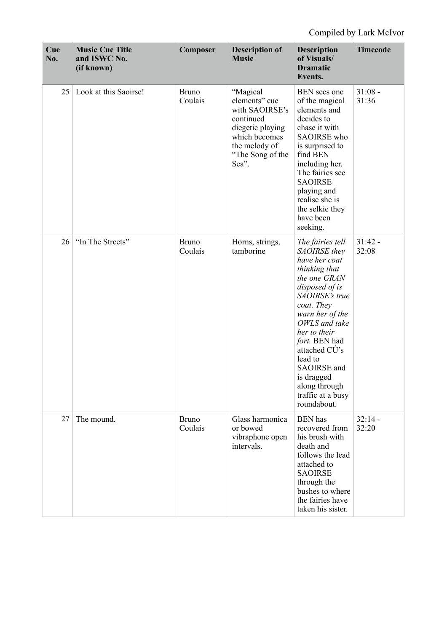| Cue<br>No. | <b>Music Cue Title</b><br>and ISWC No.<br>(if known) | Composer                | <b>Description of</b><br><b>Music</b>                                                                                                       | <b>Description</b><br>of Visuals/<br><b>Dramatic</b><br>Events.                                                                                                                                                                                                                                                         | <b>Timecode</b>    |
|------------|------------------------------------------------------|-------------------------|---------------------------------------------------------------------------------------------------------------------------------------------|-------------------------------------------------------------------------------------------------------------------------------------------------------------------------------------------------------------------------------------------------------------------------------------------------------------------------|--------------------|
| 25         | Look at this Saoirse!                                | <b>Bruno</b><br>Coulais | "Magical<br>elements" cue<br>with SAOIRSE's<br>continued<br>diegetic playing<br>which becomes<br>the melody of<br>"The Song of the<br>Sea". | BEN sees one<br>of the magical<br>elements and<br>decides to<br>chase it with<br><b>SAOIRSE</b> who<br>is surprised to<br>find BEN<br>including her.<br>The fairies see<br><b>SAOIRSE</b><br>playing and<br>realise she is<br>the selkie they<br>have been<br>seeking.                                                  | $31:08 -$<br>31:36 |
| 26         | "In The Streets"                                     | <b>Bruno</b><br>Coulais | Horns, strings,<br>tamborine                                                                                                                | The fairies tell<br>SAOIRSE they<br>have her coat<br>thinking that<br>the one GRAN<br>disposed of is<br>SAOIRSE's true<br>coat. They<br>warn her of the<br>OWLS and take<br>her to their<br>fort. BEN had<br>attached CÚ's<br>lead to<br>SAOIRSE and<br>is dragged<br>along through<br>traffic at a busy<br>roundabout. | $31:42 -$<br>32:08 |
| 27         | The mound.                                           | <b>Bruno</b><br>Coulais | Glass harmonica<br>or bowed<br>vibraphone open<br>intervals.                                                                                | <b>BEN</b> has<br>recovered from<br>his brush with<br>death and<br>follows the lead<br>attached to<br><b>SAOIRSE</b><br>through the<br>bushes to where<br>the fairies have<br>taken his sister.                                                                                                                         | $32:14 -$<br>32:20 |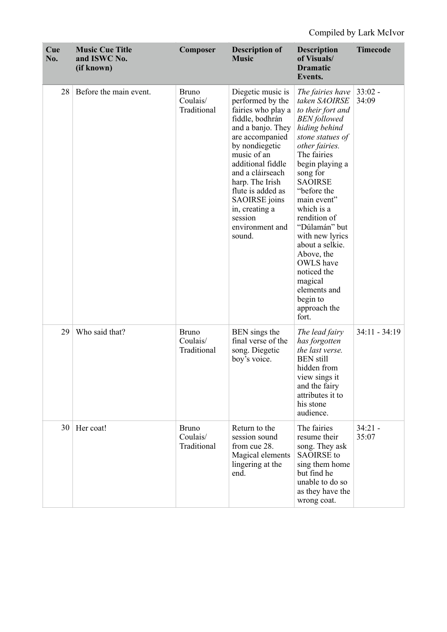| Cue<br>No. | <b>Music Cue Title</b><br>and ISWC No.<br>(if known) | Composer                                | <b>Description of</b><br><b>Music</b>                                                                                                                                                                                                                                                                                      | <b>Description</b><br>of Visuals/<br><b>Dramatic</b><br>Events.                                                                                                                                                                                                                                                                                                                                                                          | <b>Timecode</b>    |
|------------|------------------------------------------------------|-----------------------------------------|----------------------------------------------------------------------------------------------------------------------------------------------------------------------------------------------------------------------------------------------------------------------------------------------------------------------------|------------------------------------------------------------------------------------------------------------------------------------------------------------------------------------------------------------------------------------------------------------------------------------------------------------------------------------------------------------------------------------------------------------------------------------------|--------------------|
| 28         | Before the main event.                               | <b>Bruno</b><br>Coulais/<br>Traditional | Diegetic music is<br>performed by the<br>fairies who play a<br>fiddle, bodhrán<br>and a banjo. They<br>are accompanied<br>by nondiegetic<br>music of an<br>additional fiddle<br>and a cláirseach<br>harp. The Irish<br>flute is added as<br><b>SAOIRSE</b> joins<br>in, creating a<br>session<br>environment and<br>sound. | The fairies have<br>taken SAOIRSE<br>to their fort and<br><b>BEN</b> followed<br>hiding behind<br>stone statues of<br>other fairies.<br>The fairies<br>begin playing a<br>song for<br><b>SAOIRSE</b><br>"before the<br>main event"<br>which is a<br>rendition of<br>"Dúlamán" but<br>with new lyrics<br>about a selkie.<br>Above, the<br><b>OWLS</b> have<br>noticed the<br>magical<br>elements and<br>begin to<br>approach the<br>fort. | $33:02 -$<br>34:09 |
| 29         | Who said that?                                       | <b>Bruno</b><br>Coulais/<br>Traditional | BEN sings the<br>final verse of the<br>song. Diegetic<br>boy's voice.                                                                                                                                                                                                                                                      | The lead fairy<br>has forgotten<br>the last verse.<br><b>BEN</b> still<br>hidden from<br>view sings it<br>and the fairy<br>attributes it to<br>his stone<br>audience.                                                                                                                                                                                                                                                                    | $34:11 - 34:19$    |
| 30         | Her coat!                                            | <b>Bruno</b><br>Coulais/<br>Traditional | Return to the<br>session sound<br>from cue 28.<br>Magical elements<br>lingering at the<br>end.                                                                                                                                                                                                                             | The fairies<br>resume their<br>song. They ask<br><b>SAOIRSE</b> to<br>sing them home<br>but find he<br>unable to do so<br>as they have the<br>wrong coat.                                                                                                                                                                                                                                                                                | $34:21 -$<br>35:07 |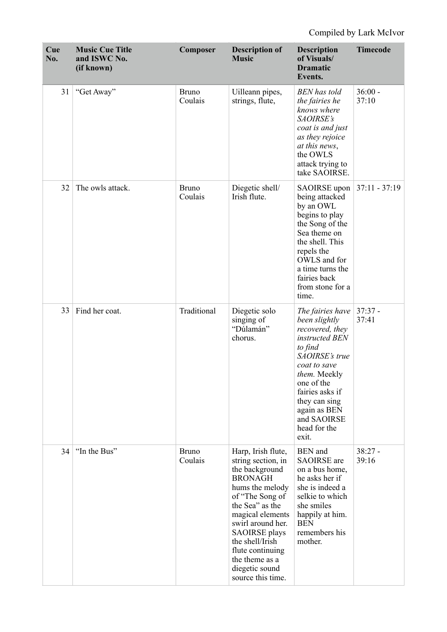| Cue<br>No. | <b>Music Cue Title</b><br>and ISWC No.<br>(if known) | Composer                | <b>Description of</b><br><b>Music</b>                                                                                                                                                                                                                                                                  | <b>Description</b><br>of Visuals/<br><b>Dramatic</b><br>Events.                                                                                                                                                                               | <b>Timecode</b>    |
|------------|------------------------------------------------------|-------------------------|--------------------------------------------------------------------------------------------------------------------------------------------------------------------------------------------------------------------------------------------------------------------------------------------------------|-----------------------------------------------------------------------------------------------------------------------------------------------------------------------------------------------------------------------------------------------|--------------------|
| 31         | "Get Away"                                           | <b>Bruno</b><br>Coulais | Uilleann pipes,<br>strings, flute,                                                                                                                                                                                                                                                                     | <b>BEN</b> has told<br>the fairies he<br>knows where<br>SAOIRSE's<br>coat is and just<br>as they rejoice<br>at this news,<br>the OWLS<br>attack trying to<br>take SAOIRSE.                                                                    | $36:00 -$<br>37:10 |
| 32         | The owls attack.                                     | <b>Bruno</b><br>Coulais | Diegetic shell/<br>Irish flute.                                                                                                                                                                                                                                                                        | <b>SAOIRSE</b> upon<br>being attacked<br>by an OWL<br>begins to play<br>the Song of the<br>Sea theme on<br>the shell. This<br>repels the<br>OWLS and for<br>a time turns the<br>fairies back<br>from stone for a<br>time.                     | $37:11 - 37:19$    |
| 33         | Find her coat.                                       | Traditional             | Diegetic solo<br>singing of<br>"Dúlamán"<br>chorus.                                                                                                                                                                                                                                                    | The fairies have<br>been slightly<br>recovered, they<br>instructed BEN<br>to find<br>SAOIRSE's true<br>coat to save<br>them. Meekly<br>one of the<br>fairies asks if<br>they can sing<br>again as BEN<br>and SAOIRSE<br>head for the<br>exit. | $37:37 -$<br>37:41 |
| 34         | "In the Bus"                                         | <b>Bruno</b><br>Coulais | Harp, Irish flute,<br>string section, in<br>the background<br><b>BRONAGH</b><br>hums the melody<br>of "The Song of<br>the Sea" as the<br>magical elements<br>swirl around her.<br><b>SAOIRSE</b> plays<br>the shell/Irish<br>flute continuing<br>the theme as a<br>diegetic sound<br>source this time. | <b>BEN</b> and<br><b>SAOIRSE</b> are<br>on a bus home,<br>he asks her if<br>she is indeed a<br>selkie to which<br>she smiles<br>happily at him.<br><b>BEN</b><br>remembers his<br>mother.                                                     | $38:27 -$<br>39:16 |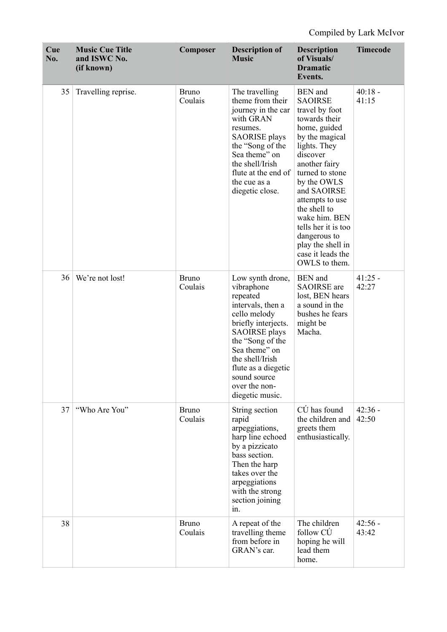| Cue<br>No. | <b>Music Cue Title</b><br>and ISWC No.<br>(if known) | Composer                | <b>Description of</b><br><b>Music</b>                                                                                                                                                                                                                             | <b>Description</b><br>of Visuals/<br><b>Dramatic</b><br>Events.                                                                                                                                                                                                                                                                                           | <b>Timecode</b>    |
|------------|------------------------------------------------------|-------------------------|-------------------------------------------------------------------------------------------------------------------------------------------------------------------------------------------------------------------------------------------------------------------|-----------------------------------------------------------------------------------------------------------------------------------------------------------------------------------------------------------------------------------------------------------------------------------------------------------------------------------------------------------|--------------------|
| 35         | Travelling reprise.                                  | <b>Bruno</b><br>Coulais | The travelling<br>theme from their<br>journey in the car<br>with GRAN<br>resumes.<br><b>SAORISE</b> plays<br>the "Song of the<br>Sea theme" on<br>the shell/Irish<br>flute at the end of<br>the cue as a<br>diegetic close.                                       | <b>BEN</b> and<br><b>SAOIRSE</b><br>travel by foot<br>towards their<br>home, guided<br>by the magical<br>lights. They<br>discover<br>another fairy<br>turned to stone<br>by the OWLS<br>and SAOIRSE<br>attempts to use<br>the shell to<br>wake him. BEN<br>tells her it is too<br>dangerous to<br>play the shell in<br>case it leads the<br>OWLS to them. | $40:18 -$<br>41:15 |
| 36         | We're not lost!                                      | <b>Bruno</b><br>Coulais | Low synth drone,<br>vibraphone<br>repeated<br>intervals, then a<br>cello melody<br>briefly interjects.<br><b>SAOIRSE</b> plays<br>the "Song of the<br>Sea theme" on<br>the shell/Irish<br>flute as a diegetic<br>sound source<br>over the non-<br>diegetic music. | <b>BEN</b> and<br><b>SAOIRSE</b> are<br>lost, BEN hears<br>a sound in the<br>bushes he fears<br>might be<br>Macha.                                                                                                                                                                                                                                        | $41:25 -$<br>42:27 |
| 37         | "Who Are You"                                        | <b>Bruno</b><br>Coulais | String section<br>rapid<br>arpeggiations,<br>harp line echoed<br>by a pizzicato<br>bass section.<br>Then the harp<br>takes over the<br>arpeggiations<br>with the strong<br>section joining<br>in.                                                                 | $C\acute{U}$ has found<br>the children and<br>greets them<br>enthusiastically.                                                                                                                                                                                                                                                                            | $42:36 -$<br>42:50 |
| 38         |                                                      | <b>Bruno</b><br>Coulais | A repeat of the<br>travelling theme<br>from before in<br>GRAN's car.                                                                                                                                                                                              | The children<br>follow CÚ<br>hoping he will<br>lead them<br>home.                                                                                                                                                                                                                                                                                         | $42:56 -$<br>43:42 |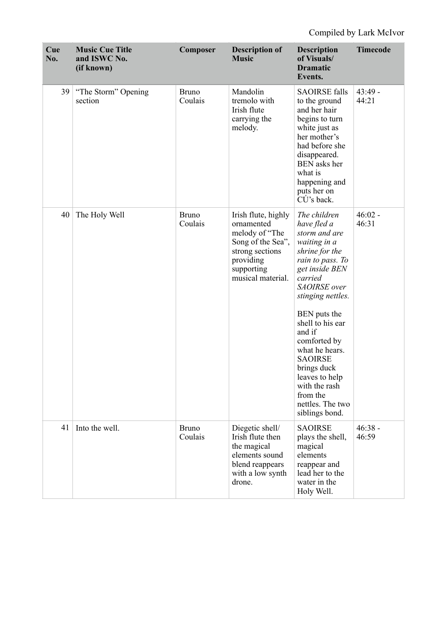| Cue<br>No. | <b>Music Cue Title</b><br>and ISWC No.<br>(if known) | Composer                | <b>Description of</b><br><b>Music</b>                                                                                                       | <b>Description</b><br>of Visuals/<br><b>Dramatic</b><br>Events.                                                                                                                                                                                                                                                                                                            | <b>Timecode</b>    |
|------------|------------------------------------------------------|-------------------------|---------------------------------------------------------------------------------------------------------------------------------------------|----------------------------------------------------------------------------------------------------------------------------------------------------------------------------------------------------------------------------------------------------------------------------------------------------------------------------------------------------------------------------|--------------------|
| 39         | "The Storm" Opening<br>section                       | <b>Bruno</b><br>Coulais | Mandolin<br>tremolo with<br>Irish flute<br>carrying the<br>melody.                                                                          | <b>SAOIRSE falls</b><br>to the ground<br>and her hair<br>begins to turn<br>white just as<br>her mother's<br>had before she<br>disappeared.<br>BEN asks her<br>what is<br>happening and<br>puts her on<br>$C\dot{U}$ 's back.                                                                                                                                               | $43:49 -$<br>44:21 |
| 40         | The Holy Well                                        | <b>Bruno</b><br>Coulais | Irish flute, highly<br>ornamented<br>melody of "The<br>Song of the Sea",<br>strong sections<br>providing<br>supporting<br>musical material. | The children<br>have fled a<br>storm and are<br>waiting in a<br>shrine for the<br>rain to pass. To<br>get inside BEN<br>carried<br>SAOIRSE over<br>stinging nettles.<br>BEN puts the<br>shell to his ear<br>and if<br>comforted by<br>what he hears.<br><b>SAOIRSE</b><br>brings duck<br>leaves to help<br>with the rash<br>from the<br>nettles. The two<br>siblings bond. | $46:02 -$<br>46:31 |
| 41         | Into the well.                                       | <b>Bruno</b><br>Coulais | Diegetic shell/<br>Irish flute then<br>the magical<br>elements sound<br>blend reappears<br>with a low synth<br>drone.                       | <b>SAOIRSE</b><br>plays the shell,<br>magical<br>elements<br>reappear and<br>lead her to the<br>water in the<br>Holy Well.                                                                                                                                                                                                                                                 | $46:38 -$<br>46:59 |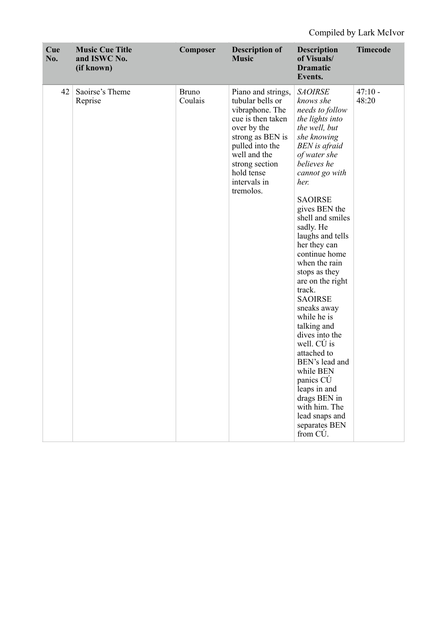| Cue<br>No. | <b>Music Cue Title</b><br>and ISWC No.<br>(if known) | Composer                | <b>Description of</b><br><b>Music</b>                                                                                                                                                                             | <b>Description</b><br>of Visuals/<br><b>Dramatic</b><br>Events.                                                                                                                                                                                                                                                                                                                                                                                                                                                                                                                                                                 | <b>Timecode</b>    |
|------------|------------------------------------------------------|-------------------------|-------------------------------------------------------------------------------------------------------------------------------------------------------------------------------------------------------------------|---------------------------------------------------------------------------------------------------------------------------------------------------------------------------------------------------------------------------------------------------------------------------------------------------------------------------------------------------------------------------------------------------------------------------------------------------------------------------------------------------------------------------------------------------------------------------------------------------------------------------------|--------------------|
| 42         | Saoirse's Theme<br>Reprise                           | <b>Bruno</b><br>Coulais | Piano and strings,<br>tubular bells or<br>vibraphone. The<br>cue is then taken<br>over by the<br>strong as BEN is<br>pulled into the<br>well and the<br>strong section<br>hold tense<br>intervals in<br>tremolos. | <b>SAOIRSE</b><br>knows she<br>needs to follow<br>the lights into<br>the well, but<br>she knowing<br>BEN is afraid<br>of water she<br>believes he<br>cannot go with<br>her.<br><b>SAOIRSE</b><br>gives BEN the<br>shell and smiles<br>sadly. He<br>laughs and tells<br>her they can<br>continue home<br>when the rain<br>stops as they<br>are on the right<br>track.<br><b>SAOIRSE</b><br>sneaks away<br>while he is<br>talking and<br>dives into the<br>well. CU is<br>attached to<br>BEN's lead and<br>while BEN<br>panics CÚ<br>leaps in and<br>drags BEN in<br>with him. The<br>lead snaps and<br>separates BEN<br>from CÚ. | $47:10 -$<br>48:20 |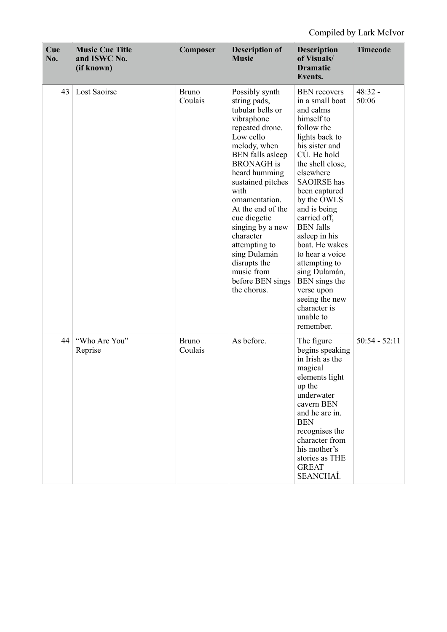| Cue<br>No. | <b>Music Cue Title</b><br>and ISWC No.<br>(if known) | Composer                | <b>Description of</b><br><b>Music</b>                                                                                                                                                                                                                                                                                                                                                                    | <b>Description</b><br>of Visuals/<br><b>Dramatic</b><br>Events.                                                                                                                                                                                                                                                                                                                                                                                                  | <b>Timecode</b>    |
|------------|------------------------------------------------------|-------------------------|----------------------------------------------------------------------------------------------------------------------------------------------------------------------------------------------------------------------------------------------------------------------------------------------------------------------------------------------------------------------------------------------------------|------------------------------------------------------------------------------------------------------------------------------------------------------------------------------------------------------------------------------------------------------------------------------------------------------------------------------------------------------------------------------------------------------------------------------------------------------------------|--------------------|
| 43         | Lost Saoirse                                         | <b>Bruno</b><br>Coulais | Possibly synth<br>string pads,<br>tubular bells or<br>vibraphone<br>repeated drone.<br>Low cello<br>melody, when<br><b>BEN</b> falls asleep<br><b>BRONAGH</b> is<br>heard humming<br>sustained pitches<br>with<br>ornamentation.<br>At the end of the<br>cue diegetic<br>singing by a new<br>character<br>attempting to<br>sing Dulamán<br>disrupts the<br>music from<br>before BEN sings<br>the chorus. | <b>BEN</b> recovers<br>in a small boat<br>and calms<br>himself to<br>follow the<br>lights back to<br>his sister and<br>CÚ. He hold<br>the shell close,<br>elsewhere<br><b>SAOIRSE</b> has<br>been captured<br>by the OWLS<br>and is being<br>carried off,<br><b>BEN</b> falls<br>asleep in his<br>boat. He wakes<br>to hear a voice<br>attempting to<br>sing Dulamán,<br>BEN sings the<br>verse upon<br>seeing the new<br>character is<br>unable to<br>remember. | $48:32 -$<br>50:06 |
| 44         | "Who Are You"<br>Reprise                             | <b>Bruno</b><br>Coulais | As before.                                                                                                                                                                                                                                                                                                                                                                                               | The figure<br>begins speaking<br>in Irish as the<br>magical<br>elements light<br>up the<br>underwater<br>cavern BEN<br>and he are in.<br><b>BEN</b><br>recognises the<br>character from<br>his mother's<br>stories as THE<br><b>GREAT</b><br>SEANCHAÍ.                                                                                                                                                                                                           | $50:54 - 52:11$    |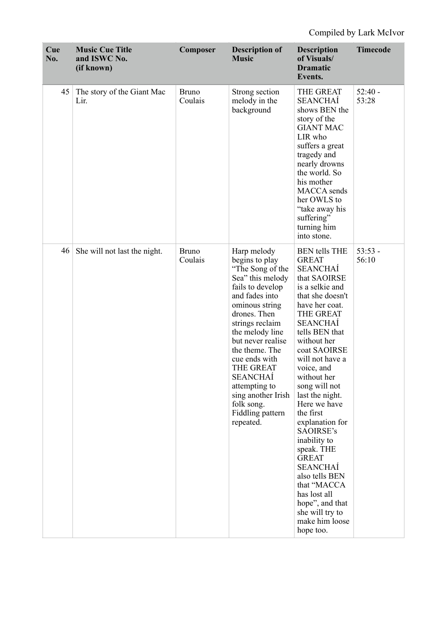| Cue<br>No. | <b>Music Cue Title</b><br>and ISWC No.<br>(if known) | Composer                | <b>Description of</b><br><b>Music</b>                                                                                                                                                                                                                                                                                                                             | <b>Description</b><br>of Visuals/<br><b>Dramatic</b><br>Events.                                                                                                                                                                                                                                                                                                                                                                                                                                                                                    | <b>Timecode</b>    |
|------------|------------------------------------------------------|-------------------------|-------------------------------------------------------------------------------------------------------------------------------------------------------------------------------------------------------------------------------------------------------------------------------------------------------------------------------------------------------------------|----------------------------------------------------------------------------------------------------------------------------------------------------------------------------------------------------------------------------------------------------------------------------------------------------------------------------------------------------------------------------------------------------------------------------------------------------------------------------------------------------------------------------------------------------|--------------------|
| 45         | The story of the Giant Mac<br>Lir.                   | <b>Bruno</b><br>Coulais | Strong section<br>melody in the<br>background                                                                                                                                                                                                                                                                                                                     | THE GREAT<br><b>SEANCHAÍ</b><br>shows BEN the<br>story of the<br><b>GIANT MAC</b><br>LIR who<br>suffers a great<br>tragedy and<br>nearly drowns<br>the world. So<br>his mother<br>MACCA sends<br>her OWLS to<br>"take away his<br>suffering"<br>turning him<br>into stone.                                                                                                                                                                                                                                                                         | $52:40 -$<br>53:28 |
| 46         | She will not last the night.                         | <b>Bruno</b><br>Coulais | Harp melody<br>begins to play<br>"The Song of the<br>Sea" this melody<br>fails to develop<br>and fades into<br>ominous string<br>drones. Then<br>strings reclaim<br>the melody line<br>but never realise<br>the theme. The<br>cue ends with<br>THE GREAT<br><b>SEANCHAÍ</b><br>attempting to<br>sing another Irish<br>folk song.<br>Fiddling pattern<br>repeated. | <b>BEN</b> tells THE<br><b>GREAT</b><br><b>SEANCHAÍ</b><br>that SAOIRSE<br>is a selkie and<br>that she doesn't<br>have her coat.<br>THE GREAT<br><b>SEANCHAÍ</b><br>tells BEN that<br>without her<br>coat SAOIRSE<br>will not have a<br>voice, and<br>without her<br>song will not<br>last the night.<br>Here we have<br>the first<br>explanation for<br>SAOIRSE's<br>inability to<br>speak. THE<br><b>GREAT</b><br>SEANCHAÍ<br>also tells BEN<br>that "MACCA<br>has lost all<br>hope", and that<br>she will try to<br>make him loose<br>hope too. | $53:53 -$<br>56:10 |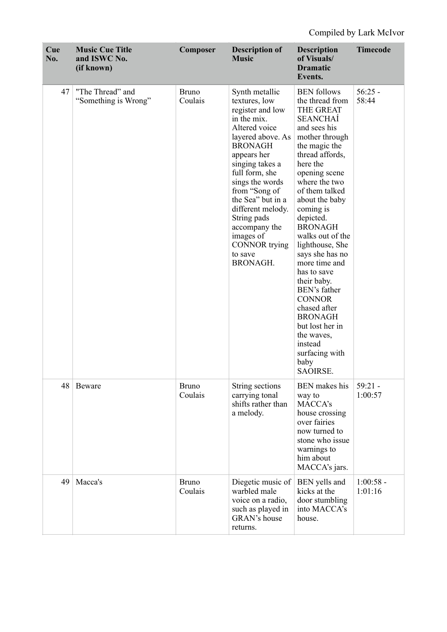| Cue<br>No. | <b>Music Cue Title</b><br>and ISWC No.<br>(if known) | Composer                | <b>Description of</b><br><b>Music</b>                                                                                                                                                                                                                                                                                                                    | <b>Description</b><br>of Visuals/<br><b>Dramatic</b><br>Events.                                                                                                                                                                                                                                                                                                                                                                                                                                                                         | <b>Timecode</b>        |
|------------|------------------------------------------------------|-------------------------|----------------------------------------------------------------------------------------------------------------------------------------------------------------------------------------------------------------------------------------------------------------------------------------------------------------------------------------------------------|-----------------------------------------------------------------------------------------------------------------------------------------------------------------------------------------------------------------------------------------------------------------------------------------------------------------------------------------------------------------------------------------------------------------------------------------------------------------------------------------------------------------------------------------|------------------------|
| 47         | "The Thread" and<br>"Something is Wrong"             | <b>Bruno</b><br>Coulais | Synth metallic<br>textures, low<br>register and low<br>in the mix.<br>Altered voice<br>layered above. As<br><b>BRONAGH</b><br>appears her<br>singing takes a<br>full form, she<br>sings the words<br>from "Song of<br>the Sea" but in a<br>different melody.<br>String pads<br>accompany the<br>images of<br><b>CONNOR</b> trying<br>to save<br>BRONAGH. | <b>BEN</b> follows<br>the thread from<br>THE GREAT<br><b>SEANCHAÍ</b><br>and sees his<br>mother through<br>the magic the<br>thread affords,<br>here the<br>opening scene<br>where the two<br>of them talked<br>about the baby<br>coming is<br>depicted.<br><b>BRONAGH</b><br>walks out of the<br>lighthouse, She<br>says she has no<br>more time and<br>has to save<br>their baby.<br>BEN's father<br><b>CONNOR</b><br>chased after<br><b>BRONAGH</b><br>but lost her in<br>the waves,<br>instead<br>surfacing with<br>baby<br>SAOIRSE. | $56:25 -$<br>58:44     |
| 48         | Beware                                               | <b>Bruno</b><br>Coulais | String sections<br>carrying tonal<br>shifts rather than<br>a melody.                                                                                                                                                                                                                                                                                     | <b>BEN</b> makes his<br>way to<br>MACCA's<br>house crossing<br>over fairies<br>now turned to<br>stone who issue<br>warnings to<br>him about<br>MACCA's jars.                                                                                                                                                                                                                                                                                                                                                                            | $59:21 -$<br>1:00:57   |
| 49         | Macca's                                              | <b>Bruno</b><br>Coulais | Diegetic music of<br>warbled male<br>voice on a radio,<br>such as played in<br>GRAN's house<br>returns.                                                                                                                                                                                                                                                  | BEN yells and<br>kicks at the<br>door stumbling<br>into MACCA's<br>house.                                                                                                                                                                                                                                                                                                                                                                                                                                                               | $1:00:58 -$<br>1:01:16 |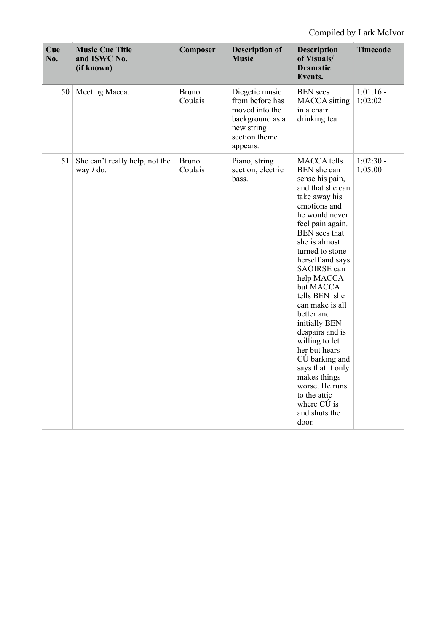| Cue<br>No. | <b>Music Cue Title</b><br>and ISWC No.<br>(if known) | Composer                | <b>Description of</b><br><b>Music</b>                                                                             | <b>Description</b><br>of Visuals/<br><b>Dramatic</b><br>Events.                                                                                                                                                                                                                                                                                                                                                                                                                                                                                | <b>Timecode</b>        |
|------------|------------------------------------------------------|-------------------------|-------------------------------------------------------------------------------------------------------------------|------------------------------------------------------------------------------------------------------------------------------------------------------------------------------------------------------------------------------------------------------------------------------------------------------------------------------------------------------------------------------------------------------------------------------------------------------------------------------------------------------------------------------------------------|------------------------|
| 50         | Meeting Macca.                                       | <b>Bruno</b><br>Coulais | Diegetic music<br>from before has<br>moved into the<br>background as a<br>new string<br>section theme<br>appears. | <b>BEN</b> sees<br><b>MACCA</b> sitting<br>in a chair<br>drinking tea                                                                                                                                                                                                                                                                                                                                                                                                                                                                          | $1:01:16$ -<br>1:02:02 |
| 51         | She can't really help, not the<br>way $I$ do.        | <b>Bruno</b><br>Coulais | Piano, string<br>section, electric<br>bass.                                                                       | <b>MACCA</b> tells<br>BEN she can<br>sense his pain,<br>and that she can<br>take away his<br>emotions and<br>he would never<br>feel pain again.<br><b>BEN</b> sees that<br>she is almost<br>turned to stone<br>herself and says<br>SAOIRSE can<br>help MACCA<br>but MACCA<br>tells BEN she<br>can make is all<br>better and<br>initially BEN<br>despairs and is<br>willing to let<br>her but hears<br>CÚ barking and<br>says that it only<br>makes things<br>worse. He runs<br>to the attic<br>where $C\acute{U}$ is<br>and shuts the<br>door. | $1:02:30 -$<br>1:05:00 |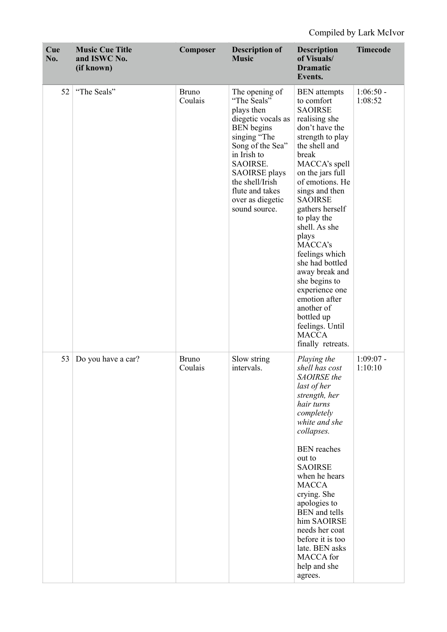| Cue<br>No. | <b>Music Cue Title</b><br>and ISWC No.<br>(if known) | Composer                | <b>Description of</b><br><b>Music</b>                                                                                                                                                                                                                    | <b>Description</b><br>of Visuals/<br><b>Dramatic</b><br>Events.                                                                                                                                                                                                                                                                                                                                                                                                                                        | <b>Timecode</b>        |
|------------|------------------------------------------------------|-------------------------|----------------------------------------------------------------------------------------------------------------------------------------------------------------------------------------------------------------------------------------------------------|--------------------------------------------------------------------------------------------------------------------------------------------------------------------------------------------------------------------------------------------------------------------------------------------------------------------------------------------------------------------------------------------------------------------------------------------------------------------------------------------------------|------------------------|
| 52         | "The Seals"                                          | <b>Bruno</b><br>Coulais | The opening of<br>"The Seals"<br>plays then<br>diegetic vocals as<br><b>BEN</b> begins<br>singing "The<br>Song of the Sea"<br>in Irish to<br>SAOIRSE.<br><b>SAOIRSE</b> plays<br>the shell/Irish<br>flute and takes<br>over as diegetic<br>sound source. | <b>BEN</b> attempts<br>to comfort<br><b>SAOIRSE</b><br>realising she<br>don't have the<br>strength to play<br>the shell and<br>break<br>MACCA's spell<br>on the jars full<br>of emotions. He<br>sings and then<br><b>SAOIRSE</b><br>gathers herself<br>to play the<br>shell. As she<br>plays<br>MACCA's<br>feelings which<br>she had bottled<br>away break and<br>she begins to<br>experience one<br>emotion after<br>another of<br>bottled up<br>feelings. Until<br><b>MACCA</b><br>finally retreats. | $1:06:50 -$<br>1:08:52 |
| 53         | Do you have a car?                                   | <b>Bruno</b><br>Coulais | Slow string<br>intervals.                                                                                                                                                                                                                                | Playing the<br>shell has cost<br>SAOIRSE the<br>last of her<br>strength, her<br>hair turns<br>completely<br>white and she<br>collapses.<br><b>BEN</b> reaches<br>out to<br><b>SAOIRSE</b><br>when he hears<br><b>MACCA</b><br>crying. She<br>apologies to<br><b>BEN</b> and tells<br>him SAOIRSE<br>needs her coat<br>before it is too<br>late. BEN asks<br>MACCA for<br>help and she<br>agrees.                                                                                                       | $1:09:07 -$<br>1:10:10 |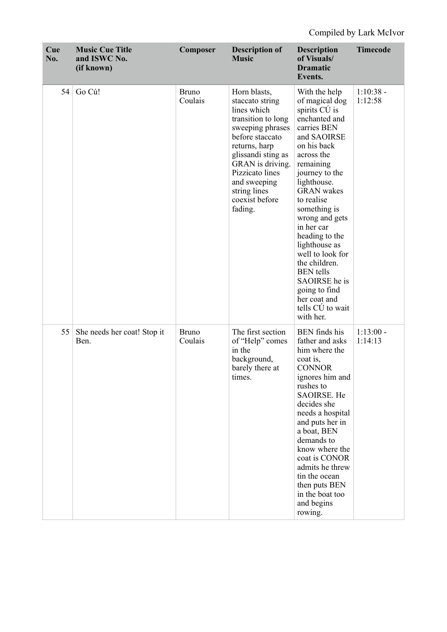| Cue<br>No. | <b>Music Cue Title</b><br>and ISWC No.<br>(if known) | Composer                | <b>Description of</b><br><b>Music</b>                                                                                                                                                                                                                  | <b>Description</b><br>of Visuals/<br><b>Dramatic</b><br>Events.                                                                                                                                                                                                                                                                                                                                                                              | <b>Timecode</b>        |
|------------|------------------------------------------------------|-------------------------|--------------------------------------------------------------------------------------------------------------------------------------------------------------------------------------------------------------------------------------------------------|----------------------------------------------------------------------------------------------------------------------------------------------------------------------------------------------------------------------------------------------------------------------------------------------------------------------------------------------------------------------------------------------------------------------------------------------|------------------------|
| 54         | Go Cú!                                               | <b>Bruno</b><br>Coulais | Horn blasts,<br>staccato string<br>lines which<br>transition to long<br>sweeping phrases<br>before staccato<br>returns, harp<br>glissandi sting as<br>GRAN is driving.<br>Pizzicato lines<br>and sweeping<br>string lines<br>coexist before<br>fading. | With the help<br>of magical dog<br>spirits CU is<br>enchanted and<br>carries BEN<br>and SAOIRSE<br>on his back<br>across the<br>remaining<br>journey to the<br>lighthouse.<br><b>GRAN</b> wakes<br>to realise<br>something is<br>wrong and gets<br>in her car<br>heading to the<br>lighthouse as<br>well to look for<br>the children.<br><b>BEN</b> tells<br>SAOIRSE he is<br>going to find<br>her coat and<br>tells CÚ to wait<br>with her. | $1:10:38 -$<br>1:12:58 |
| 55         | She needs her coat! Stop it<br>Ben.                  | <b>Bruno</b><br>Coulais | The first section<br>of "Help" comes<br>in the<br>background,<br>barely there at<br>times.                                                                                                                                                             | <b>BEN</b> finds his<br>father and asks<br>him where the<br>coat is,<br><b>CONNOR</b><br>ignores him and<br>rushes to<br>SAOIRSE. He<br>decides she<br>needs a hospital<br>and puts her in<br>a boat, BEN<br>demands to<br>know where the<br>coat is CONOR<br>admits he threw<br>tin the ocean<br>then puts BEN<br>in the boat too<br>and begins<br>rowing.                                                                                  | $1:13:00 -$<br>1:14:13 |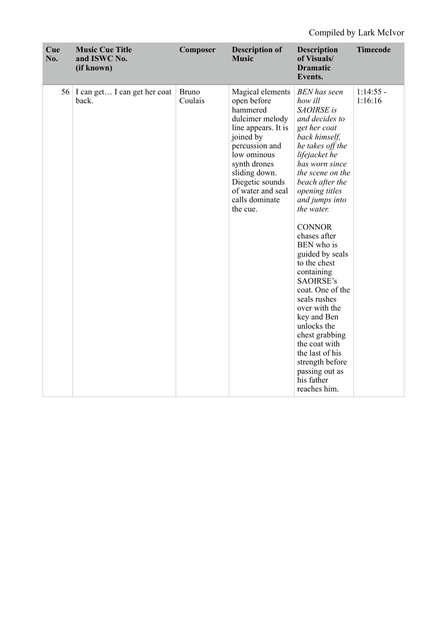| Cue<br>No. | <b>Music Cue Title</b><br>and ISWC No.<br>(if known) | Composer                | <b>Description of</b><br><b>Music</b>                                                                                                                                                                                                      | <b>Description</b><br>of Visuals/<br><b>Dramatic</b><br>Events.                                                                                                                                                                                                                                                                                                                                                                                                                                                                                                          | <b>Timecode</b>        |
|------------|------------------------------------------------------|-------------------------|--------------------------------------------------------------------------------------------------------------------------------------------------------------------------------------------------------------------------------------------|--------------------------------------------------------------------------------------------------------------------------------------------------------------------------------------------------------------------------------------------------------------------------------------------------------------------------------------------------------------------------------------------------------------------------------------------------------------------------------------------------------------------------------------------------------------------------|------------------------|
|            | 56   I can get I can get her coat<br>back.           | <b>Bruno</b><br>Coulais | Magical elements<br>open before<br>hammered<br>dulcimer melody<br>line appears. It is<br>joined by<br>percussion and<br>low ominous<br>synth drones<br>sliding down.<br>Diegetic sounds<br>of water and seal<br>calls dominate<br>the cue. | <b>BEN</b> has seen<br>how ill<br>SAOIRSE is<br>and decides to<br>get her coat<br>back himself,<br>he takes off the<br>lifejacket he<br>has worn since<br>the scene on the<br>beach after the<br>opening titles<br>and jumps into<br>the water.<br><b>CONNOR</b><br>chases after<br>BEN who is<br>guided by seals<br>to the chest<br>containing<br>SAOIRSE's<br>coat. One of the<br>seals rushes<br>over with the<br>key and Ben<br>unlocks the<br>chest grabbing<br>the coat with<br>the last of his<br>strength before<br>passing out as<br>his father<br>reaches him. | $1:14:55$ -<br>1:16:16 |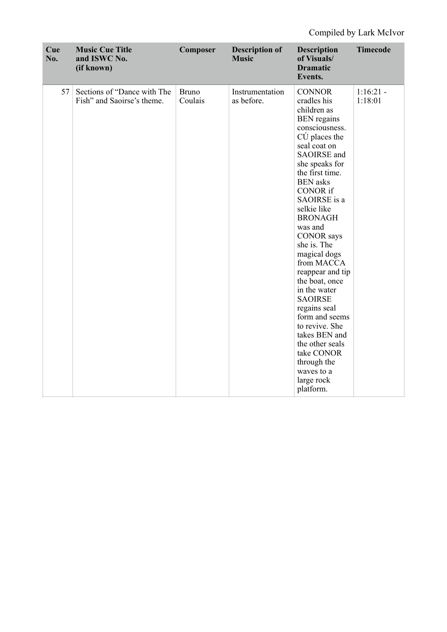| Cue<br>No. | <b>Music Cue Title</b><br>and ISWC No.<br>(if known)      | Composer                | <b>Description of</b><br><b>Music</b> | <b>Description</b><br>of Visuals/<br><b>Dramatic</b><br>Events.                                                                                                                                                                                                                                                                                                                                                                                                                                                                                                                                     | <b>Timecode</b>        |
|------------|-----------------------------------------------------------|-------------------------|---------------------------------------|-----------------------------------------------------------------------------------------------------------------------------------------------------------------------------------------------------------------------------------------------------------------------------------------------------------------------------------------------------------------------------------------------------------------------------------------------------------------------------------------------------------------------------------------------------------------------------------------------------|------------------------|
| 57         | Sections of "Dance with The<br>Fish" and Saoirse's theme. | <b>Bruno</b><br>Coulais | Instrumentation<br>as before.         | <b>CONNOR</b><br>cradles his<br>children as<br><b>BEN</b> regains<br>consciousness.<br>$C\acute{U}$ places the<br>seal coat on<br><b>SAOIRSE</b> and<br>she speaks for<br>the first time.<br><b>BEN</b> asks<br><b>CONOR</b> if<br>SAOIRSE is a<br>selkie like<br><b>BRONAGH</b><br>was and<br><b>CONOR</b> says<br>she is. The<br>magical dogs<br>from MACCA<br>reappear and tip<br>the boat, once<br>in the water<br><b>SAOIRSE</b><br>regains seal<br>form and seems<br>to revive. She<br>takes BEN and<br>the other seals<br>take CONOR<br>through the<br>waves to a<br>large rock<br>platform. | $1:16:21 -$<br>1:18:01 |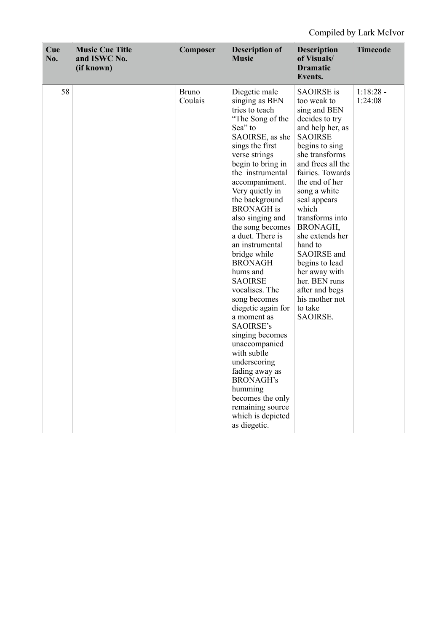| Cue<br>No. | <b>Music Cue Title</b><br>and ISWC No.<br>(if known) | Composer                | <b>Description of</b><br><b>Music</b>                                                                                                                                                                                                                                                                                                                                                                                                                                                                                                                                                                                                                                                            | <b>Description</b><br>of Visuals/<br><b>Dramatic</b><br>Events.                                                                                                                                                                                                                                                                                                                                                                             | <b>Timecode</b>        |
|------------|------------------------------------------------------|-------------------------|--------------------------------------------------------------------------------------------------------------------------------------------------------------------------------------------------------------------------------------------------------------------------------------------------------------------------------------------------------------------------------------------------------------------------------------------------------------------------------------------------------------------------------------------------------------------------------------------------------------------------------------------------------------------------------------------------|---------------------------------------------------------------------------------------------------------------------------------------------------------------------------------------------------------------------------------------------------------------------------------------------------------------------------------------------------------------------------------------------------------------------------------------------|------------------------|
| 58         |                                                      | <b>Bruno</b><br>Coulais | Diegetic male<br>singing as BEN<br>tries to teach<br>"The Song of the<br>Sea" to<br>SAOIRSE, as she<br>sings the first<br>verse strings<br>begin to bring in<br>the instrumental<br>accompaniment.<br>Very quietly in<br>the background<br><b>BRONAGH</b> is<br>also singing and<br>the song becomes<br>a duet. There is<br>an instrumental<br>bridge while<br><b>BRONAGH</b><br>hums and<br><b>SAOIRSE</b><br>vocalises. The<br>song becomes<br>diegetic again for<br>a moment as<br>SAOIRSE's<br>singing becomes<br>unaccompanied<br>with subtle<br>underscoring<br>fading away as<br><b>BRONAGH's</b><br>humming<br>becomes the only<br>remaining source<br>which is depicted<br>as diegetic. | <b>SAOIRSE</b> is<br>too weak to<br>sing and BEN<br>decides to try<br>and help her, as<br><b>SAOIRSE</b><br>begins to sing<br>she transforms<br>and frees all the<br>fairies. Towards<br>the end of her<br>song a white<br>seal appears<br>which<br>transforms into<br>BRONAGH,<br>she extends her<br>hand to<br>SAOIRSE and<br>begins to lead<br>her away with<br>her. BEN runs<br>after and begs<br>his mother not<br>to take<br>SAOIRSE. | $1:18:28 -$<br>1:24:08 |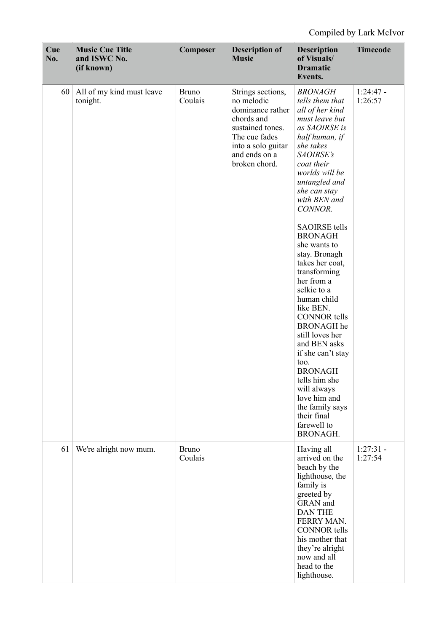| Cue<br>No. | <b>Music Cue Title</b><br>and ISWC No.<br>(if known) | Composer                | <b>Description of</b><br><b>Music</b>                                                                                                                          | <b>Description</b><br>of Visuals/<br><b>Dramatic</b><br>Events.                                                                                                                                                                                                                                                                                                                                                                                                                                                                                                                                                                                   | <b>Timecode</b>        |
|------------|------------------------------------------------------|-------------------------|----------------------------------------------------------------------------------------------------------------------------------------------------------------|---------------------------------------------------------------------------------------------------------------------------------------------------------------------------------------------------------------------------------------------------------------------------------------------------------------------------------------------------------------------------------------------------------------------------------------------------------------------------------------------------------------------------------------------------------------------------------------------------------------------------------------------------|------------------------|
| 60         | All of my kind must leave<br>tonight.                | <b>Bruno</b><br>Coulais | Strings sections,<br>no melodic<br>dominance rather<br>chords and<br>sustained tones.<br>The cue fades<br>into a solo guitar<br>and ends on a<br>broken chord. | <b>BRONAGH</b><br>tells them that<br>all of her kind<br>must leave but<br>as SAOIRSE is<br>half human, if<br>she takes<br>SAOIRSE's<br>coat their<br>worlds will be<br>untangled and<br>she can stay<br>with BEN and<br>CONNOR.<br><b>SAOIRSE</b> tells<br><b>BRONAGH</b><br>she wants to<br>stay. Bronagh<br>takes her coat,<br>transforming<br>her from a<br>selkie to a<br>human child<br>like BEN.<br><b>CONNOR</b> tells<br><b>BRONAGH</b> he<br>still loves her<br>and BEN asks<br>if she can't stay<br>too.<br><b>BRONAGH</b><br>tells him she<br>will always<br>love him and<br>the family says<br>their final<br>farewell to<br>BRONAGH. | $1:24:47$ -<br>1:26:57 |
| 61         | We're alright now mum.                               | <b>Bruno</b><br>Coulais |                                                                                                                                                                | Having all<br>arrived on the<br>beach by the<br>lighthouse, the<br>family is<br>greeted by<br>GRAN and<br><b>DAN THE</b><br>FERRY MAN.<br><b>CONNOR</b> tells<br>his mother that<br>they're alright<br>now and all<br>head to the<br>lighthouse.                                                                                                                                                                                                                                                                                                                                                                                                  | $1:27:31 -$<br>1:27:54 |